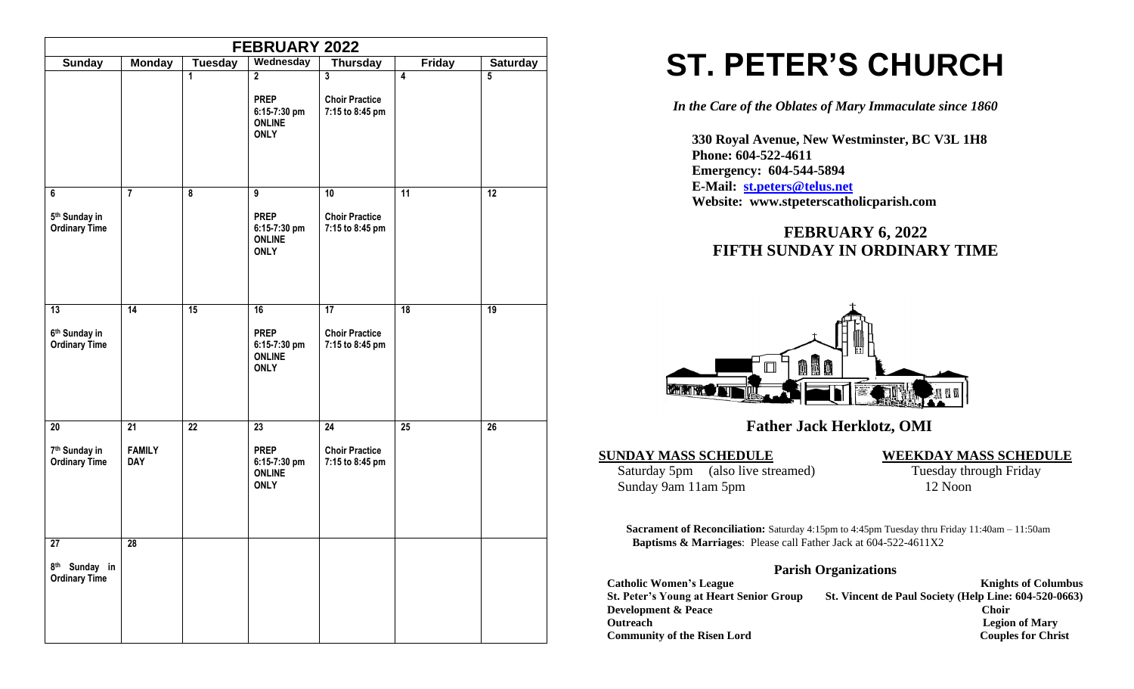|                                                                      |                                   |                         | FEBRUARY 2022                                                                  |                                                             |                 |                 |
|----------------------------------------------------------------------|-----------------------------------|-------------------------|--------------------------------------------------------------------------------|-------------------------------------------------------------|-----------------|-----------------|
| <b>Sunday</b>                                                        | <b>Monday</b>                     | <b>Tuesday</b>          | Wednesday                                                                      | <b>Thursday</b>                                             | <b>Friday</b>   | <b>Saturday</b> |
|                                                                      |                                   | 1                       | $\overline{2}$<br><b>PREP</b><br>6:15-7:30 pm<br><b>ONLINE</b><br><b>ONLY</b>  | $\mathbf{3}$<br><b>Choir Practice</b><br>7:15 to 8:45 pm    | 4               | $\overline{5}$  |
| 6<br>5 <sup>th</sup> Sunday in<br><b>Ordinary Time</b>               | $\overline{7}$                    | $\overline{\mathbf{8}}$ | $\overline{9}$<br><b>PREP</b><br>6:15-7:30 pm<br><b>ONLINE</b><br><b>ONLY</b>  | $\overline{10}$<br><b>Choir Practice</b><br>7:15 to 8:45 pm | 11              | 12              |
| $\overline{13}$<br>6 <sup>th</sup> Sunday in<br><b>Ordinary Time</b> | $\overline{14}$                   | 15                      | 16<br><b>PREP</b><br>6:15-7:30 pm<br><b>ONLINE</b><br><b>ONLY</b>              | 17<br><b>Choir Practice</b><br>7:15 to 8:45 pm              | 18              | 19              |
| 20<br>7 <sup>th</sup> Sunday in<br><b>Ordinary Time</b>              | 21<br><b>FAMILY</b><br><b>DAY</b> | $\overline{22}$         | $\overline{23}$<br><b>PREP</b><br>6:15-7:30 pm<br><b>ONLINE</b><br><b>ONLY</b> | $\overline{24}$<br><b>Choir Practice</b><br>7:15 to 8:45 pm | $\overline{25}$ | $\overline{26}$ |
| 27<br>8 <sup>th</sup> Sunday in<br><b>Ordinary Time</b>              | 28                                |                         |                                                                                |                                                             |                 |                 |

# **ST. PETER'S CHURCH**

*In the Care of the Oblates of Mary Immaculate since 1860*

 **330 Royal Avenue, New Westminster, BC V3L 1H8 Phone: 604-522-4611 Emergency: 604-544-5894 E-Mail: [st.peters@telus.net](mailto:st.peters@telus.net) Website: www.stpeterscatholicparish.com**

# **FEBRUARY 6, 2022 FIFTH SUNDAY IN ORDINARY TIME**



# **Father Jack Herklotz, OMI**

Saturday 5pm (also live streamed) Tuesday through Friday Sunday 9am 11am 5pm 12 Noon

#### **SUNDAY MASS SCHEDULE WEEKDAY MASS SCHEDULE**

**Sacrament of Reconciliation:** Saturday 4:15pm to 4:45pm Tuesday thru Friday 11:40am – 11:50am  **Baptisms & Marriages**: Please call Father Jack at 604-522-4611X2

### **Parish Organizations**

| <b>Catholic Women's League</b>                 | <b>Knights of Columbus</b>                            |
|------------------------------------------------|-------------------------------------------------------|
| <b>St. Peter's Young at Heart Senior Group</b> | St. Vincent de Paul Society (Help Line: 604-520-0663) |
| <b>Development &amp; Peace</b>                 | <b>Choir</b>                                          |
| <b>Outreach</b>                                | <b>Legion of Mary</b>                                 |
| <b>Community of the Risen Lord</b>             | <b>Couples for Christ</b>                             |